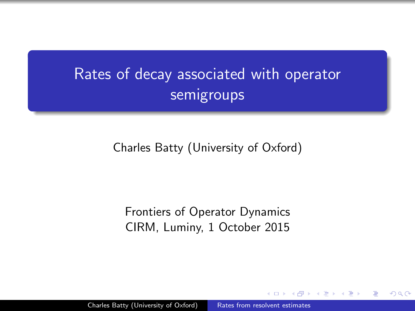# Rates of decay associated with operator semigroups

Charles Batty (University of Oxford)

<span id="page-0-0"></span>Frontiers of Operator Dynamics CIRM, Luminy, 1 October 2015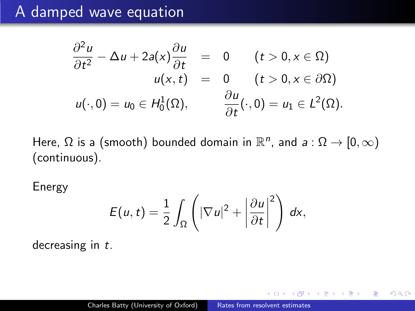### A damped wave equation

$$
\frac{\partial^2 u}{\partial t^2} - \Delta u + 2a(x)\frac{\partial u}{\partial t} = 0 \qquad (t > 0, x \in \Omega)
$$
  

$$
u(x, t) = 0 \qquad (t > 0, x \in \partial\Omega)
$$
  

$$
u(\cdot, 0) = u_0 \in H_0^1(\Omega), \qquad \frac{\partial u}{\partial t}(\cdot, 0) = u_1 \in L^2(\Omega).
$$

Here,  $\Omega$  is a (smooth) bounded domain in  $\mathbb{R}^n$ , and  $a : \Omega \to [0, \infty)$ (continuous).

Energy

$$
E(u,t)=\frac{1}{2}\int_{\Omega}\left(|\nabla u|^{2}+\left|\frac{\partial u}{\partial t}\right|^{2}\right) dx,
$$

decreasing in t.

化重复 化重变

 $\Omega$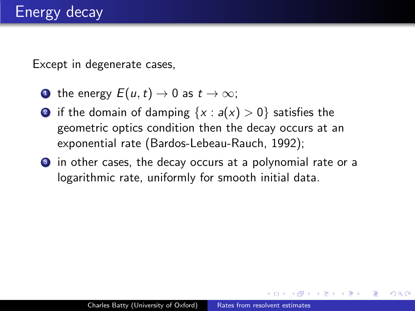Except in degenerate cases,

- **1** the energy  $E(u,t) \rightarrow 0$  as  $t \rightarrow \infty$ ;
- **2** if the domain of damping  $\{x : a(x) > 0\}$  satisfies the geometric optics condition then the decay occurs at an exponential rate (Bardos-Lebeau-Rauch, 1992);
- <sup>3</sup> in other cases, the decay occurs at a polynomial rate or a logarithmic rate, uniformly for smooth initial data.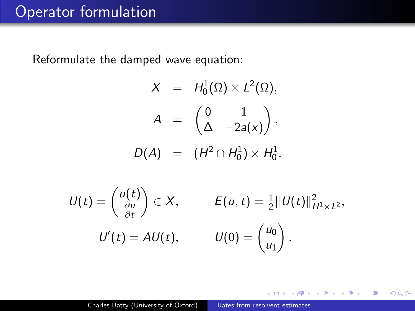### Operator formulation

Reformulate the damped wave equation:

$$
X = H_0^1(\Omega) \times L^2(\Omega),
$$
  
\n
$$
A = \begin{pmatrix} 0 & 1 \\ \Delta & -2a(x) \end{pmatrix},
$$
  
\n
$$
D(A) = (H^2 \cap H_0^1) \times H_0^1.
$$
  
\n
$$
U(t) = \begin{pmatrix} u(t) \\ \frac{\partial u}{\partial t} \end{pmatrix} \in X, \qquad E(u, t) = \frac{1}{2} ||U(t)||_{H^1 \times L^2}^2,
$$
  
\n
$$
U'(t) = AU(t), \qquad U(0) = \begin{pmatrix} u_0 \\ u_1 \end{pmatrix}.
$$

 $2Q$ 

<span id="page-3-0"></span>∍

э

 $\sim$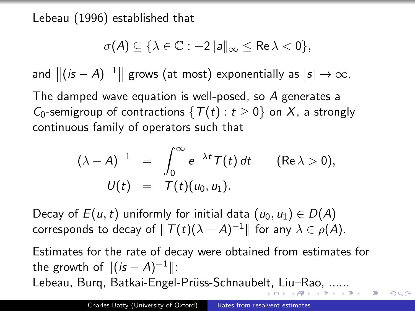Lebeau (1996) established that

$$
\sigma(A)\subseteq \{\lambda\in\mathbb{C}: -2\|a\|_\infty\leq \text{Re}\,\lambda<0\},
$$

and  $\|(i s - A)^{-1}\|$  grows (at most) exponentially as  $|s| \to \infty$ .

The damped wave equation is well-posed, so A generates a  $C_0$ -semigroup of contractions  $\{T(t): t \geq 0\}$  on X, a strongly continuous family of operators such that

<span id="page-4-0"></span>
$$
(\lambda - A)^{-1} = \int_0^\infty e^{-\lambda t} T(t) dt \quad (\text{Re }\lambda > 0),
$$
  

$$
U(t) = T(t)(u_0, u_1).
$$

Decay of  $E(u, t)$  uniformly for initial data  $(u_0, u_1) \in D(A)$ corresponds to decay of  $\|T(t)(\lambda - A)^{-1}\|$  for any  $\lambda \in \rho(A).$ 

Estimates for the rate of decay were obtained from estimates for the growth of  $\|(i s - A)^{-1}\|$ : Lebeau, Burg, Batkai-Engel-Prüss-Schnaube[lt,](#page-3-0) [Li](#page-5-0)[u](#page-3-0)[–R](#page-4-0)[a](#page-5-0)[o,](#page-0-0) [...](#page-28-0)[...](#page-0-0)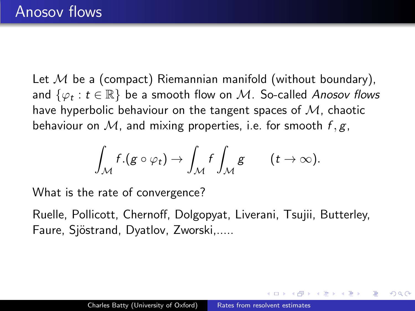Let  $M$  be a (compact) Riemannian manifold (without boundary), and  $\{\varphi_t : t \in \mathbb{R}\}$  be a smooth flow on  $\mathcal M$ . So-called Anosov flows have hyperbolic behaviour on the tangent spaces of  $M$ , chaotic behaviour on M, and mixing properties, i.e. for smooth  $f, g$ ,

<span id="page-5-0"></span>
$$
\int_{\mathcal{M}} f.(g \circ \varphi_t) \to \int_{\mathcal{M}} f \int_{\mathcal{M}} g \qquad (t \to \infty).
$$

What is the rate of convergence?

Ruelle, Pollicott, Chernoff, Dolgopyat, Liverani, Tsujii, Butterley, Faure, Sjöstrand, Dyatlov, Zworski,.....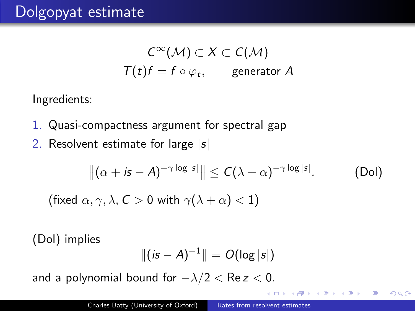$$
C^{\infty}(\mathcal{M}) \subset X \subset C(\mathcal{M})
$$
  

$$
\mathcal{T}(t)f = f \circ \varphi_t, \qquad \text{generator } A
$$

Ingredients:

- 1. Quasi-compactness argument for spectral gap
- 2. Resolvent estimate for large  $|s|$

$$
\left\|(\alpha + i\mathsf{s} - A)^{-\gamma \log |\mathsf{s}|}\right\| \leq C(\lambda + \alpha)^{-\gamma \log |\mathsf{s}|}.\tag{Dol}
$$

 $200$ 

(fixed  $\alpha, \gamma, \lambda, C > 0$  with  $\gamma(\lambda + \alpha) < 1$ )

(Dol) implies

$$
\|(is-A)^{-1}\| = O(\log |s|)
$$

and a polynomial bound for  $-\lambda/2 < \text{Re } z < 0$ .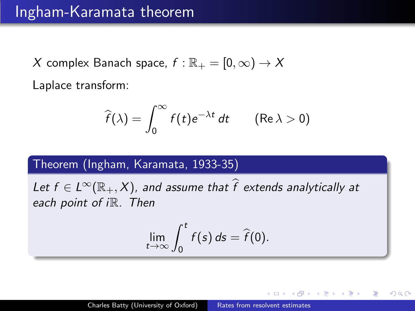### Ingham-Karamata theorem

X complex Banach space,  $f : \mathbb{R}_+ = [0, \infty) \to X$ Laplace transform:

$$
\widehat{f}(\lambda) = \int_0^\infty f(t)e^{-\lambda t} dt \qquad (\text{Re }\lambda > 0)
$$

### Theorem (Ingham, Karamata, 1933-35)

Let  $f \in L^{\infty}(\mathbb{R}_+, X)$ , and assume that  $\widehat{f}$  extends analytically at each point of iR. Then

$$
\lim_{t\to\infty}\int_0^t f(s)\,ds=\widehat{f}(0).
$$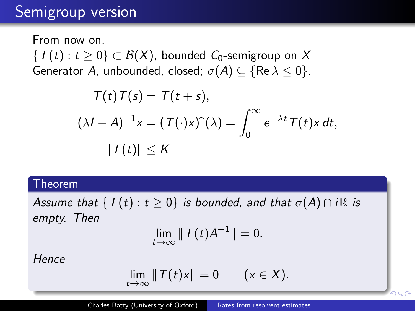# Semigroup version

From now on,  ${T(t): t \geq 0} \subset B(X)$ , bounded  $C_0$ -semigroup on X Generator A, unbounded, closed;  $\sigma(A) \subseteq \{ \text{Re } \lambda \leq 0 \}.$ 

$$
T(t)T(s) = T(t + s),
$$
  

$$
(\lambda I - A)^{-1}x = (T(\cdot)x)^{\hat{ }} (\lambda) = \int_0^\infty e^{-\lambda t} T(t)x dt,
$$
  

$$
\|T(t)\| \le K
$$

#### Theorem

Assume that  $\{T(t): t \geq 0\}$  is bounded, and that  $\sigma(A) \cap i\mathbb{R}$  is empty. Then

$$
\lim_{t\to\infty}\|T(t)A^{-1}\|=0.
$$

**Hence** 

$$
\lim_{t\to\infty}||T(t)x||=0 \qquad (x\in X).
$$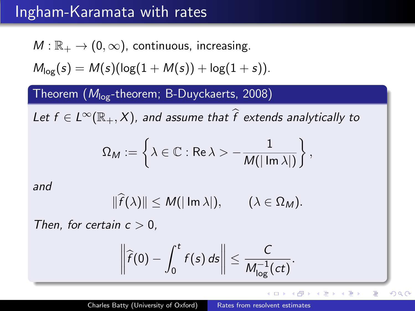## Ingham-Karamata with rates

$$
M:\mathbb{R}_+\to (0,\infty),\text{ continuous, increasing.}
$$

$$
M_{\log}(s) = M(s)(\log(1+M(s)) + \log(1+s)).
$$

### Theorem  $(M_{\text{log}}$ -theorem; B-Duyckaerts, 2008)

Let  $f \in L^{\infty}(\mathbb{R}_+, X)$ , and assume that  $\widehat{f}$  extends analytically to

$$
\Omega_M:=\left\{\lambda\in\mathbb{C}:\text{Re }\lambda>-\frac{1}{M(|\operatorname{Im}\lambda|)}\right\},
$$

and

$$
\|\widehat{f}(\lambda)\| \leq M(|\operatorname{Im}\lambda|), \qquad (\lambda \in \Omega_M).
$$

Then, for certain  $c > 0$ ,

$$
\left\|\widehat{f}(0)-\int_0^t f(s)\,ds\right\|\leq \frac{C}{M_{\log}^{-1}(ct)}.
$$

4 17 18

- ④ 伊 ▶ ④ ヨ ▶ ④ ヨ ▶

Þ

 $QQ$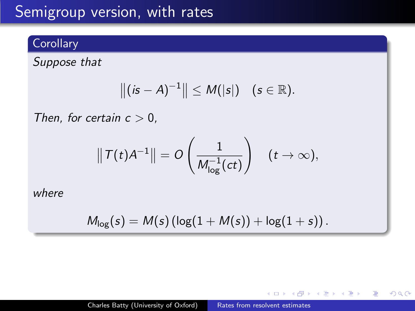# Semigroup version, with rates

### **Corollary**

Suppose that

$$
||(is-A)^{-1}|| \leq M(|s|) \quad (s \in \mathbb{R}).
$$

Then, for certain  $c > 0$ ,

$$
\|T(t)A^{-1}\| = O\left(\frac{1}{M_{\log}^{-1}(ct)}\right) \quad (t \to \infty),
$$

where

$$
M_{\log}(s) = M(s) \left( \log(1 + M(s)) + \log(1 + s) \right).
$$

 $\sim$   $\sim$ 

∢ 重 ≯

 $\sim$ 

э  $\sim$ э  $\Omega$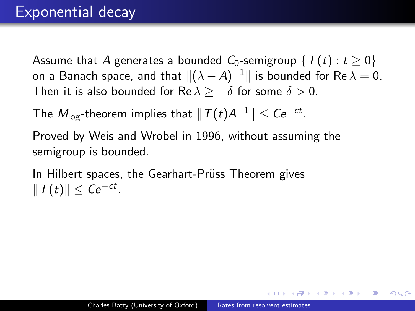Assume that A generates a bounded  $C_0$ -semigroup  $\{T(t): t \geq 0\}$ on a Banach space, and that  $\|(\lambda - A)^{-1}\|$  is bounded for Re  $\lambda = 0.$ Then it is also bounded for Re  $\lambda > -\delta$  for some  $\delta > 0$ .

The  $M_{\sf log}$ -theorem implies that  $\|T(t) {\mathcal A}^{-1}\| \leq C e^{-ct}$ .

Proved by Weis and Wrobel in 1996, without assuming the semigroup is bounded.

In Hilbert spaces, the Gearhart-Prüss Theorem gives  $\Vert T(t)\Vert \leq Ce^{-ct}$ .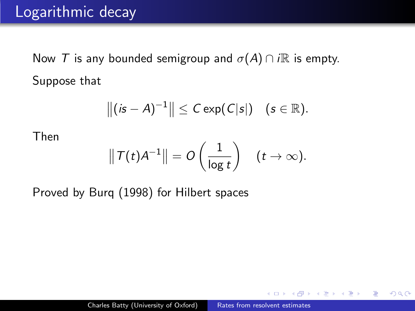Now T is any bounded semigroup and  $\sigma(A) \cap i\mathbb{R}$  is empty. Suppose that

$$
\|(is-A)^{-1}\|\leq C\exp(C|s|)\quad (s\in\mathbb{R}).
$$

Then

$$
\|T(t)A^{-1}\| = O\left(\frac{1}{\log t}\right) \quad (t \to \infty).
$$

Proved by Burq (1998) for Hilbert spaces

化重复 化重变

 $\Omega$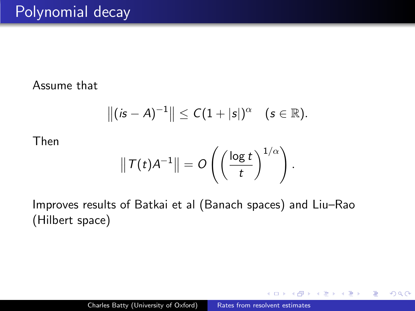#### Assume that

$$
||(is - A)^{-1}|| \le C(1 + |s|)^{\alpha}
$$
  $(s \in \mathbb{R}).$ 

Then

$$
\|T(t)A^{-1}\| = O\left(\left(\frac{\log t}{t}\right)^{1/\alpha}\right).
$$

Improves results of Batkai et al (Banach spaces) and Liu–Rao (Hilbert space)

 $QQ$ 

G.  $\sim$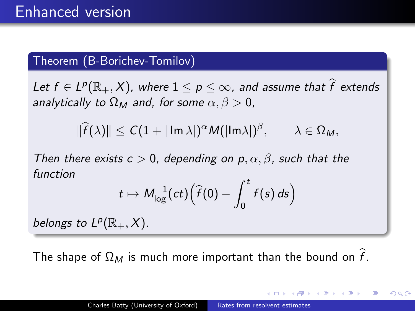### Theorem (B-Borichev-Tomilov)

Let  $f \in L^p(\mathbb{R}_+, X)$ , where  $1 \leq p \leq \infty$ , and assume that  $\widehat{f}$  extends analytically to  $\Omega_M$  and, for some  $\alpha, \beta > 0$ ,

 $\|\widehat{f}(\lambda)\| \leq C(1 + |\operatorname{Im }\lambda|)^{\alpha} M(|\operatorname{Im }\lambda|)^{\beta}, \qquad \lambda \in \Omega_M,$ 

Then there exists  $c > 0$ , depending on  $p, \alpha, \beta$ , such that the function

$$
t\mapsto M_{\log}^{-1}(ct)\Big(\widehat{f}(0)-\int_0^t f(s)\,ds\Big)
$$

belongs to  $L^p(\mathbb{R}_+,X)$ .

The shape of  $\Omega_M$  is much more important than the bound on  $\hat{f}$ .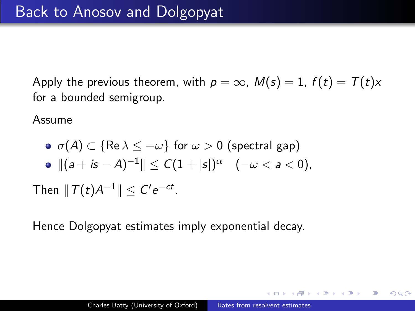Apply the previous theorem, with  $p = \infty$ ,  $M(s) = 1$ ,  $f(t) = T(t)x$ for a bounded semigroup.

Assume

\n- $$
\sigma(A) \subset \{ \text{Re } \lambda \leq -\omega \}
$$
 for  $\omega > 0$  (spectral gap)
\n- $\|(a + is - A)^{-1}\| \leq C(1 + |s|)^{\alpha}$   $(-\omega < a < 0)$ , Then  $\|T(t)A^{-1}\| \leq C'e^{-ct}$ .
\n

Hence Dolgopyat estimates imply exponential decay.

スラメスラメー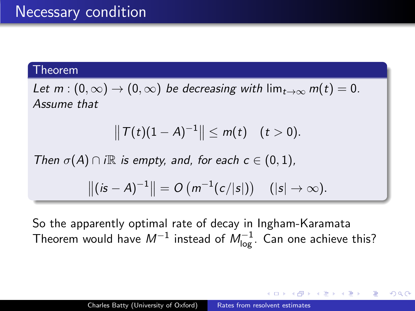#### Theorem

Let  $m : (0, \infty) \to (0, \infty)$  be decreasing with  $\lim_{t \to \infty} m(t) = 0$ . Assume that

$$
||T(t)(1-A)^{-1}|| \leq m(t) \quad (t>0).
$$

Then  $\sigma(A) \cap i\mathbb{R}$  is empty, and, for each  $c \in (0,1)$ ,

$$
||(is - A)^{-1}|| = O(m^{-1}(c/|s|))
$$
  $(|s| \to \infty).$ 

So the apparently optimal rate of decay in Ingham-Karamata Theorem would have  $M^{-1}$  instead of  $M_{\mathsf{log}}^{-1}$ . Can one achieve this?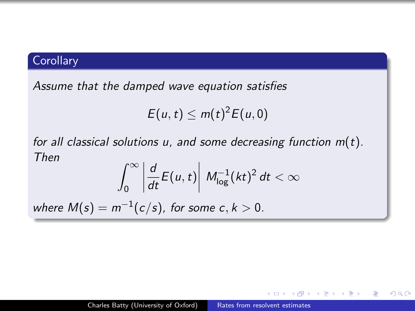### **Corollary**

Assume that the damped wave equation satisfies

$$
E(u,t)\leq m(t)^2E(u,0)
$$

for all classical solutions u, and some decreasing function  $m(t)$ . Then

$$
\int_0^\infty \left| \frac{d}{dt} E(u,t) \right| \, M_{\log}^{-1} (kt)^2 \, dt < \infty
$$

where  $M(s) = m^{-1}(c/s)$ , for some  $c, k > 0$ .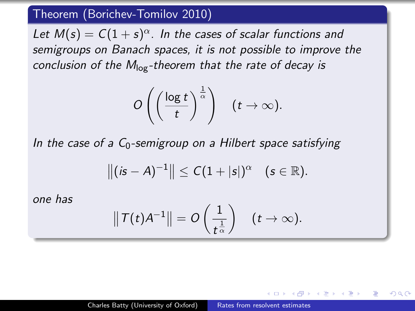### Theorem (Borichev-Tomilov 2010)

Let  $M(s) = C(1+s)^{\alpha}$ . In the cases of scalar functions and semigroups on Banach spaces, it is not possible to improve the conclusion of the  $M_{\text{log}}$ -theorem that the rate of decay is

$$
O\left(\left(\frac{\log t}{t}\right)^{\frac{1}{\alpha}}\right) \quad (t\to\infty).
$$

In the case of a  $C_0$ -semigroup on a Hilbert space satisfying

$$
||(is - A)^{-1}|| \le C(1 + |s|)^{\alpha}
$$
  $(s \in \mathbb{R}).$ 

one has

$$
\|T(t)A^{-1}\|=O\left(\frac{1}{t^{\frac{1}{\alpha}}}\right)\quad(t\to\infty).
$$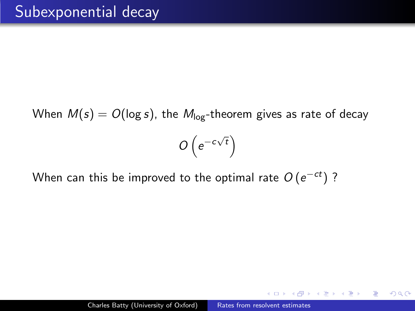When  $M(s) = O(\log s)$ , the  $M_{\log}$ -theorem gives as rate of decay  $O(e^{-c\sqrt{t}})$ 

When can this be improved to the optimal rate  $O\left( e^{-ct}\right)$  ?

化重复 化重变

 $\Omega$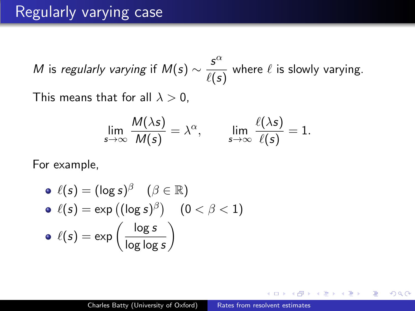### Regularly varying case

M is regularly varying if  $M(s) \sim \frac{s^{\alpha}}{s(s)}$  $\overline{\ell(s)}$  where  $\ell$  is slowly varying. This means that for all  $\lambda > 0$ .

$$
\lim_{s \to \infty} \frac{M(\lambda s)}{M(s)} = \lambda^{\alpha}, \qquad \lim_{s \to \infty} \frac{\ell(\lambda s)}{\ell(s)} = 1.
$$

For example,

\n- \n
$$
\ell(s) = (\log s)^{\beta} \quad (\beta \in \mathbb{R})
$$
\n
\n- \n
$$
\ell(s) = \exp((\log s)^{\beta}) \quad (0 < \beta < 1)
$$
\n
\n- \n
$$
\ell(s) = \exp\left(\frac{\log s}{\log \log s}\right)
$$
\n
\n

化重变 化重变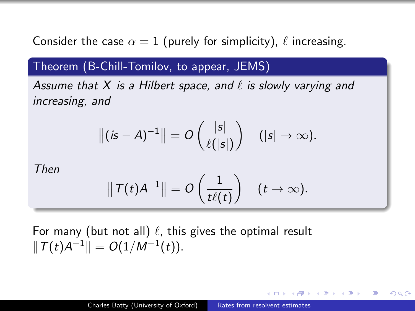Consider the case  $\alpha = 1$  (purely for simplicity),  $\ell$  increasing.

### Theorem (B-Chill-Tomilov, to appear, JEMS)

Assume that X is a Hilbert space, and  $\ell$  is slowly varying and increasing, and

$$
\|(is-A)^{-1}\| = O\left(\frac{|s|}{\ell(|s|)}\right) \quad (|s| \to \infty).
$$

Then

$$
\|T(t)A^{-1}\| = O\left(\frac{1}{t\ell(t)}\right) \quad (t \to \infty).
$$

For many (but not all)  $\ell$ , this gives the optimal result  $\|\mathcal{T}(t)A^{-1}\| = O(1/M^{-1}(t)).$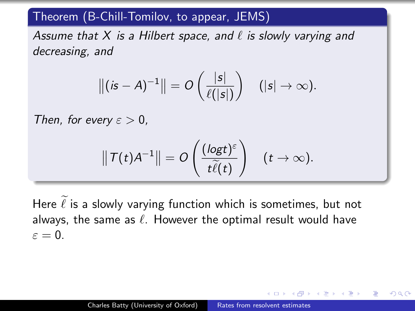### Theorem (B-Chill-Tomilov, to appear, JEMS)

Assume that X is a Hilbert space, and  $\ell$  is slowly varying and decreasing, and

$$
\|(is-A)^{-1}\| = O\left(\frac{|s|}{\ell(|s|)}\right) \quad (|s| \to \infty).
$$

Then, for every  $\varepsilon > 0$ ,

$$
\|T(t)A^{-1}\| = O\left(\frac{(\text{log}t)^{\varepsilon}}{t\widetilde{\ell}(t)}\right) \quad (t \to \infty).
$$

Here  $\ell$  is a slowly varying function which is sometimes, but not always, the same as  $\ell$ . However the optimal result would have  $\varepsilon = 0$ .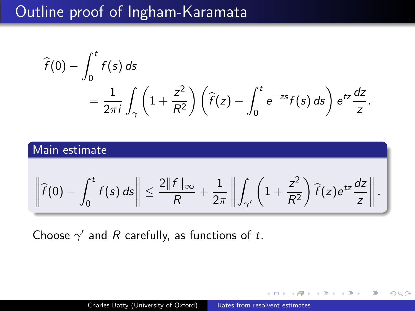## Outline proof of Ingham-Karamata

$$
\widehat{f}(0) - \int_0^t f(s) \, ds
$$
\n
$$
= \frac{1}{2\pi i} \int_\gamma \left(1 + \frac{z^2}{R^2}\right) \left(\widehat{f}(z) - \int_0^t e^{-zs} f(s) \, ds\right) e^{tz} \frac{dz}{z}.
$$

### Main estimate

$$
\left\|\widehat{f}(0)-\int_0^t f(s)\,ds\right\|\leq \frac{2\|f\|_\infty}{R}+\frac{1}{2\pi}\left\|\int_{\gamma'}\left(1+\frac{z^2}{R^2}\right)\widehat{f}(z)e^{tz}\frac{dz}{z}\right\|.
$$

Choose  $\gamma'$  and R carefully, as functions of t.

∢ 重 ≯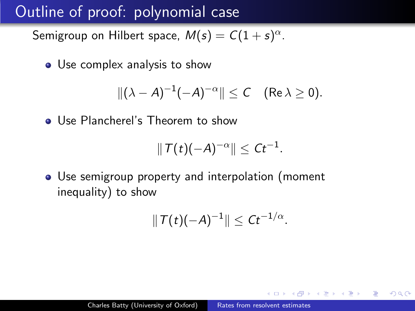# Outline of proof: polynomial case

Semigroup on Hilbert space,  $M(s)=C(1+s)^{\alpha}.$ 

• Use complex analysis to show

$$
\|(\lambda-A)^{-1}(-A)^{-\alpha}\|\leq C\quad(\text{Re }\lambda\geq 0).
$$

**Q** Use Plancherel's Theorem to show

$$
||T(t)(-A)^{-\alpha}|| \leq Ct^{-1}.
$$

Use semigroup property and interpolation (moment inequality) to show

$$
||\mathsf{T}(t)(-A)^{-1}|| \leq Ct^{-1/\alpha}.
$$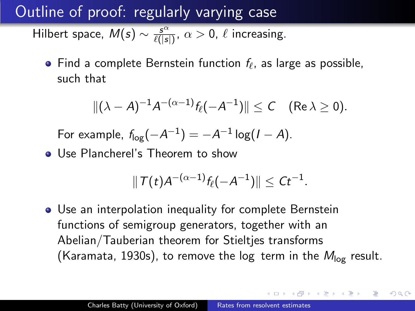Outline of proof: regularly varying case

Hilbert space,  $M(s) \sim \frac{s^{\alpha}}{\ell(s)}$  $\frac{s^{\alpha}}{\ell(|s|)}$ ,  $\alpha > 0$ ,  $\ell$  increasing.

Find a complete Bernstein function  $f_\ell$ , as large as possible, such that

$$
\|(\lambda-A)^{-1}A^{-(\alpha-1)}f_{\ell}(-A^{-1})\|\leq C\quad(\text{Re }\lambda\geq 0).
$$

For example,  $f_{log}(-A^{-1}) = -A^{-1} \log(I - A)$ .

Use Plancherel's Theorem to show

$$
|| \mathcal{T}(t) A^{-(\alpha-1)} f_{\ell}(-A^{-1}) || \leq Ct^{-1}.
$$

Use an interpolation inequality for complete Bernstein functions of semigroup generators, together with an Abelian/Tauberian theorem for Stieltjes transforms (Karamata, 1930s), to remove the log term in the  $M_{\text{log}}$  result.

 $\mathbb{R}^n \times \mathbb{R}^n \xrightarrow{\mathbb{R}^n} \mathbb{R}^n \times \mathbb{R}^n \xrightarrow{\mathbb{R}^n} \mathbb{R}^n$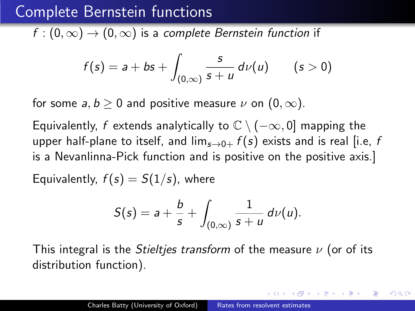## Complete Bernstein functions

 $f:(0,\infty)\to(0,\infty)$  is a complete Bernstein function if

$$
f(s) = a + bs + \int_{(0,\infty)} \frac{s}{s+u} d\nu(u) \qquad (s>0)
$$

for some a,  $b > 0$  and positive measure  $\nu$  on  $(0, \infty)$ .

Equivalently, f extends analytically to  $\mathbb{C} \setminus (-\infty, 0]$  mapping the upper half-plane to itself, and  $\lim_{s\to 0+} f(s)$  exists and is real [i.e, f is a Nevanlinna-Pick function and is positive on the positive axis.]

Equivalently,  $f(s) = S(1/s)$ , where

$$
S(s)=a+\frac{b}{s}+\int_{(0,\infty)}\frac{1}{s+u}\,d\nu(u).
$$

This integral is the *Stieltjes transform* of the measure  $\nu$  (or of its distribution function).

化重新润滑脂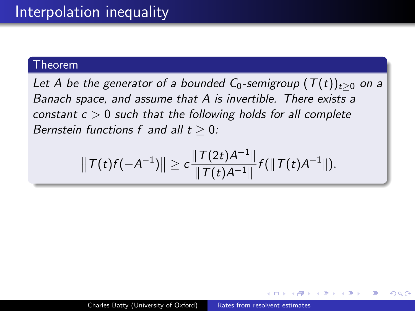#### Theorem

Let A be the generator of a bounded  $C_0$ -semigroup  $(T(t))_{t\geq 0}$  on a Banach space, and assume that A is invertible. There exists a constant  $c > 0$  such that the following holds for all complete Bernstein functions f and all  $t > 0$ :

$$
\|\mathcal{T}(t)f(-A^{-1})\|\geq c\frac{\|\mathcal{T}(2t)A^{-1}\|}{\|\mathcal{T}(t)A^{-1}\|}f(\|\mathcal{T}(t)A^{-1}\|).
$$